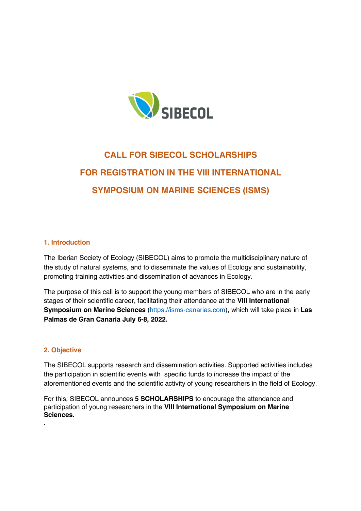

# **CALL FOR SIBECOL SCHOLARSHIPS FOR REGISTRATION IN THE VIII INTERNATIONAL SYMPOSIUM ON MARINE SCIENCES (ISMS)**

# **1. Introduction**

The Iberian Society of Ecology (SIBECOL) aims to promote the multidisciplinary nature of the study of natural systems, and to disseminate the values of Ecology and sustainability, promoting training activities and dissemination of advances in Ecology.

The purpose of this call is to support the young members of SIBECOL who are in the early stages of their scientific career, facilitating their attendance at the **VIII International Symposium on Marine Sciences** (https://isms-canarias.com), which will take place in **Las Palmas de Gran Canaria July 6-8, 2022.**

## **2. Objective**

**.**

The SIBECOL supports research and dissemination activities. Supported activities includes the participation in scientific events with specific funds to increase the impact of the aforementioned events and the scientific activity of young researchers in the field of Ecology.

For this, SIBECOL announces **5 SCHOLARSHIPS** to encourage the attendance and participation of young researchers in the **VIII International Symposium on Marine Sciences.**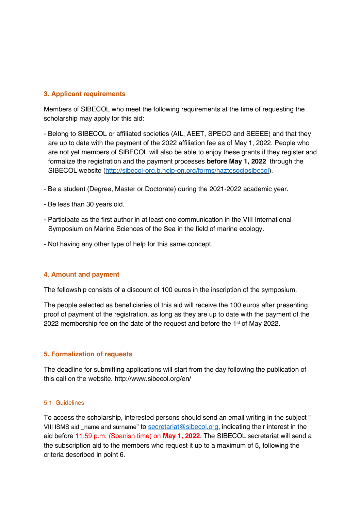# **3. Applicant requirements**

Members of SIBECOL who meet the following requirements at the time of requesting the scholarship may apply for this aid:

- Belong to SIBECOL or affiliated societies (AIL, AEET, SPECO and SEEEE) and that they are up to date with the payment of the 2022 affiliation fee as of May 1, 2022. People who are not yet members of SIBECOL will also be able to enjoy these grants if they register and formalize the registration and the payment processes **before May 1, 2022** through the SIBECOL website (http://sibecol-org.b.help-on.org/forms/haztesociosibecol).
- Be a student (Degree, Master or Doctorate) during the 2021-2022 academic year.
- Be less than 30 years old.
- Participate as the first author in at least one communication in the VIII International Symposium on Marine Sciences of the Sea in the field of marine ecology.
- Not having any other type of help for this same concept.

#### **4. Amount and payment**

The fellowship consists of a discount of 100 euros in the inscription of the symposium.

The people selected as beneficiaries of this aid will receive the 100 euros after presenting proof of payment of the registration, as long as they are up to date with the payment of the 2022 membership fee on the date of the request and before the 1st of May 2022.

#### **5. Formalization of requests**

The deadline for submitting applications will start from the day following the publication of this call on the website. http://www.sibecol.org/en/

## 5.1. Guidelines

To access the scholarship, interested persons should send an email writing in the subject " VIII ISMS aid \_name and surname" to secretariat@sibecol.org, indicating their interest in the aid before 11:59 p.m. (Spanish time) on **May 1, 2022**. The SIBECOL secretariat will send a the subscription aid to the members who request it up to a maximum of 5, following the criteria described in point 6.